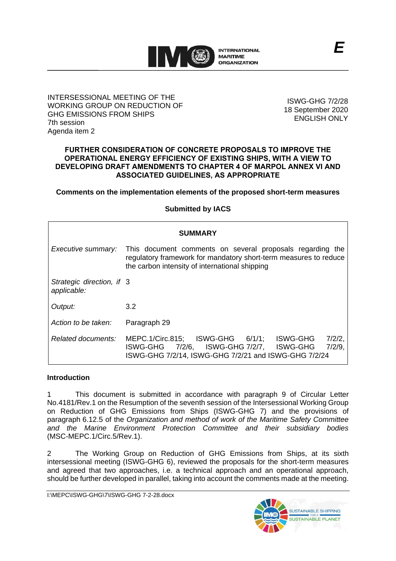

## INTERSESSIONAL MEETING OF THE WORKING GROUP ON REDUCTION OF GHG EMISSIONS FROM SHIPS 7th session Agenda item 2

ISWG-GHG 7/2/28 18 September 2020 ENGLISH ONLY

## **FURTHER CONSIDERATION OF CONCRETE PROPOSALS TO IMPROVE THE OPERATIONAL ENERGY EFFICIENCY OF EXISTING SHIPS, WITH A VIEW TO DEVELOPING DRAFT AMENDMENTS TO CHAPTER 4 OF MARPOL ANNEX VI AND ASSOCIATED GUIDELINES, AS APPROPRIATE**

**Comments on the implementation elements of the proposed short-term measures**

# **Submitted by IACS**

| <b>SUMMARY</b>                           |                                                                                                                                                                                 |
|------------------------------------------|---------------------------------------------------------------------------------------------------------------------------------------------------------------------------------|
| Executive summary:                       | This document comments on several proposals regarding the<br>regulatory framework for mandatory short-term measures to reduce<br>the carbon intensity of international shipping |
| Strategic direction, if 3<br>applicable: |                                                                                                                                                                                 |
| Output:                                  | 3.2                                                                                                                                                                             |
| Action to be taken:                      | Paragraph 29                                                                                                                                                                    |
| Related documents:                       | MEPC.1/Circ.815; ISWG-GHG 6/1/1;<br>7/2/2,<br>ISWG-GHG<br>$7/2/9$ .<br>7/2/6, ISWG-GHG 7/2/7, ISWG-GHG<br>ISWG-GHG<br>ISWG-GHG 7/2/14, ISWG-GHG 7/2/21 and ISWG-GHG 7/2/24      |

# **Introduction**

1 This document is submitted in accordance with paragraph 9 of Circular Letter No.4181/Rev.1 on the Resumption of the seventh session of the Intersessional Working Group on Reduction of GHG Emissions from Ships (ISWG-GHG 7) and the provisions of paragraph 6.12.5 of the *Organization and method of work of the Maritime Safety Committee and the Marine Environment Protection Committee and their subsidiary bodies*  (MSC-MEPC.1/Circ.5/Rev.1).

2 The Working Group on Reduction of GHG Emissions from Ships, at its sixth intersessional meeting (ISWG-GHG 6), reviewed the proposals for the short-term measures and agreed that two approaches, i.e. a technical approach and an operational approach, should be further developed in parallel, taking into account the comments made at the meeting.

I:\MEPC\ISWG-GHG\7\ISWG-GHG 7-2-28.docx

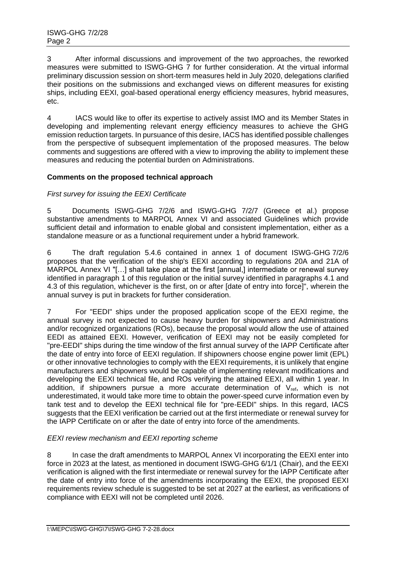3 After informal discussions and improvement of the two approaches, the reworked measures were submitted to ISWG-GHG 7 for further consideration. At the virtual informal preliminary discussion session on short-term measures held in July 2020, delegations clarified their positions on the submissions and exchanged views on different measures for existing ships, including EEXI, goal-based operational energy efficiency measures, hybrid measures, etc.

4 IACS would like to offer its expertise to actively assist IMO and its Member States in developing and implementing relevant energy efficiency measures to achieve the GHG emission reduction targets. In pursuance of this desire, IACS has identified possible challenges from the perspective of subsequent implementation of the proposed measures. The below comments and suggestions are offered with a view to improving the ability to implement these measures and reducing the potential burden on Administrations.

# **Comments on the proposed technical approach**

# *First survey for issuing the EEXI Certificate*

5 Documents ISWG-GHG 7/2/6 and ISWG-GHG 7/2/7 (Greece et al.) propose substantive amendments to MARPOL Annex VI and associated Guidelines which provide sufficient detail and information to enable global and consistent implementation, either as a standalone measure or as a functional requirement under a hybrid framework.

6 The draft regulation 5.4.6 contained in annex 1 of document ISWG-GHG 7/2/6 proposes that the verification of the ship's EEXI according to regulations 20A and 21A of MARPOL Annex VI "[…] shall take place at the first [annual,] intermediate or renewal survey identified in paragraph 1 of this regulation or the initial survey identified in paragraphs 4.1 and 4.3 of this regulation, whichever is the first, on or after [date of entry into force]", wherein the annual survey is put in brackets for further consideration.

7 For "EEDI" ships under the proposed application scope of the EEXI regime, the annual survey is not expected to cause heavy burden for shipowners and Administrations and/or recognized organizations (ROs), because the proposal would allow the use of attained EEDI as attained EEXI. However, verification of EEXI may not be easily completed for "pre-EEDI" ships during the time window of the first annual survey of the IAPP Certificate after the date of entry into force of EEXI regulation. If shipowners choose engine power limit (EPL) or other innovative technologies to comply with the EEXI requirements, it is unlikely that engine manufacturers and shipowners would be capable of implementing relevant modifications and developing the EEXI technical file, and ROs verifying the attained EEXI, all within 1 year. In addition, if shipowners pursue a more accurate determination of  $V_{ref}$ , which is not underestimated, it would take more time to obtain the power-speed curve information even by tank test and to develop the EEXI technical file for "pre-EEDI" ships. In this regard, IACS suggests that the EEXI verification be carried out at the first intermediate or renewal survey for the IAPP Certificate on or after the date of entry into force of the amendments.

## *EEXI review mechanism and EEXI reporting scheme*

8 In case the draft amendments to MARPOL Annex VI incorporating the EEXI enter into force in 2023 at the latest, as mentioned in document ISWG-GHG 6/1/1 (Chair), and the EEXI verification is aligned with the first intermediate or renewal survey for the IAPP Certificate after the date of entry into force of the amendments incorporating the EEXI, the proposed EEXI requirements review schedule is suggested to be set at 2027 [at](file:///C:/Users/lilu/AppData/Local/Youdao/DictBeta/Application/7.1.0.0421/resultui/dict/%3fkeyword=at) [the](file:///C:/Users/lilu/AppData/Local/Youdao/DictBeta/Application/7.1.0.0421/resultui/dict/%3fkeyword=the) [earliest,](file:///C:/Users/lilu/AppData/Local/Youdao/DictBeta/Application/7.1.0.0421/resultui/dict/%3fkeyword=earliest) as verifications of compliance with EEXI will not be completed until 2026.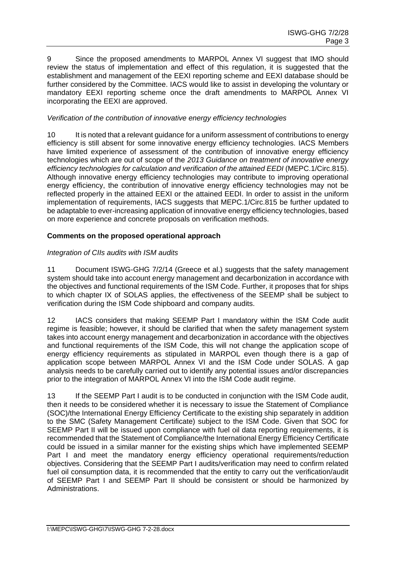9 Since the proposed amendments to MARPOL Annex VI suggest that IMO should review the status of implementation and effect of this regulation, it is suggested that the establishment and management of the EEXI reporting scheme and EEXI database should be further considered by the Committee. IACS would like to assist in developing the voluntary or mandatory EEXI reporting scheme once the draft amendments to MARPOL Annex VI incorporating the EEXI are approved.

# *Verification of the contribution of innovative energy efficiency technologies*

10 It is noted that a relevant guidance for a uniform assessment of contributions to energy efficiency is still absent for some innovative energy efficiency technologies. IACS Members have limited experience of assessment of the contribution of innovative energy efficiency technologies which are out of scope of the *2013 Guidance on treatment of innovative energy efficiency technologies for calculation and verification of the attained EEDI* (MEPC.1/Circ.815). Although innovative energy efficiency technologies may contribute to improving operational energy efficiency, the contribution of innovative energy efficiency technologies may not be reflected properly in the attained EEXI or the attained EEDI. In order to assist in the uniform implementation of requirements, IACS suggests that MEPC.1/Circ.815 be further updated to be adaptable to ever-increasing application of innovative energy efficiency technologies, based on more experience and concrete proposals on verification methods.

## **Comments on the proposed operational approach**

# *Integration of CIIs audits with ISM audits*

11 Document ISWG-GHG 7/2/14 (Greece et al.) suggests that the safety management system should take into account energy management and decarbonization in accordance with the objectives and functional requirements of the ISM Code. Further, it proposes that for ships to which chapter IX of SOLAS applies, the effectiveness of the SEEMP shall be subject to verification during the ISM Code shipboard and company audits.

12 IACS considers that making SEEMP Part I mandatory within the ISM Code audit regime is feasible; however, it should be clarified that when the safety management system takes into account energy management and decarbonization in accordance with the objectives and functional requirements of the ISM Code, this will not change the application scope of energy efficiency requirements as stipulated in MARPOL even though there is a gap of application scope between MARPOL Annex VI and the ISM Code under SOLAS. A gap analysis needs to be carefully carried out to identify any potential issues and/or discrepancies prior to the integration of MARPOL Annex VI into the ISM Code audit regime.

13 If the SEEMP Part I audit is to be conducted in conjunction with the ISM Code audit, then it needs to be considered whether it is necessary to issue the Statement of Compliance (SOC)/the International Energy Efficiency Certificate to the existing ship separately in addition to the SMC (Safety Management Certificate) subject to the ISM Code. Given that SOC for SEEMP Part II will be issued upon compliance with fuel oil data reporting requirements, it is recommended that the Statement of Compliance/the International Energy Efficiency Certificate could be issued in a similar manner for the existing ships which have implemented SEEMP Part I and meet the mandatory energy efficiency operational requirements/reduction objectives. Considering that the SEEMP Part I audits/verification may need to confirm related fuel oil consumption data, it is recommended that the entity to carry out the verification/audit of SEEMP Part I and SEEMP Part II should be consistent or should be harmonized by Administrations.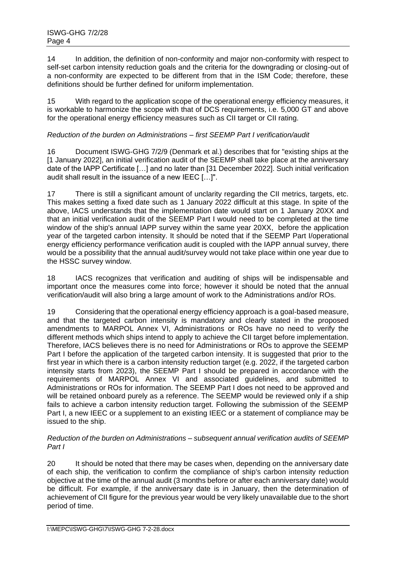14 In addition, the definition of non-conformity and major non-conformity with respect to self-set carbon intensity reduction goals and the criteria for the downgrading or closing-out of a non-conformity are expected to be different from that in the ISM Code; therefore, these definitions should be further defined for uniform implementation.

15 With regard to the application scope of the operational energy efficiency measures, it is workable to harmonize the scope with that of DCS requirements, i.e. 5,000 GT and above for the operational energy efficiency measures such as CII target or CII rating.

# *Reduction of the burden on Administrations – first SEEMP Part I verification/audit*

16 Document ISWG-GHG 7/2/9 (Denmark et al.) describes that for "existing ships at the [1 January 2022], an initial verification audit of the SEEMP shall take place at the anniversary date of the IAPP Certificate […] and no later than [31 December 2022]. Such initial verification audit shall result in the issuance of a new IEEC […]".

17 There is still a significant amount of unclarity regarding the CII metrics, targets, etc. This makes setting a fixed date such as 1 January 2022 difficult at this stage. In spite of the above, IACS understands that the implementation date would start on 1 January 20XX and that an initial verification audit of the SEEMP Part I would need to be completed at the time window of the ship's annual IAPP survey within the same year 20XX, before the application year of the targeted carbon intensity. It should be noted that if the SEEMP Part I/operational energy efficiency performance verification audit is coupled with the IAPP annual survey, there would be a possibility that the annual audit/survey would not take place within one year due to the HSSC survey window.

18 IACS recognizes that verification and auditing of ships will be indispensable and important once the measures come into force; however it should be noted that the annual verification/audit will also bring a large amount of work to the Administrations and/or ROs.

19 Considering that the operational energy efficiency approach is a goal-based measure, and that the targeted carbon intensity is mandatory and clearly stated in the proposed amendments to MARPOL Annex VI, Administrations or ROs have no need to verify the different methods which ships intend to apply to achieve the CII target before implementation. Therefore, IACS believes there is no need for Administrations or ROs to approve the SEEMP Part I before the application of the targeted carbon intensity. It is suggested that prior to the first year in which there is a carbon intensity reduction target (e.g. 2022, if the targeted carbon intensity starts from 2023), the SEEMP Part I should be prepared in accordance with the requirements of MARPOL Annex VI and associated guidelines, and submitted to Administrations or ROs for information. The SEEMP Part I does not need to be approved and will be retained onboard purely as a reference. The SEEMP would be reviewed only if a ship fails to achieve a carbon intensity reduction target. Following the submission of the SEEMP Part I, a new IEEC or a supplement to an existing IEEC or a statement of compliance may be issued to the ship.

## *Reduction of the burden on Administrations – subsequent annual verification audits of SEEMP Part I*

20 It should be noted that there may be cases when, depending on the anniversary date of each ship, the verification to confirm the compliance of ship's carbon intensity reduction objective at the time of the annual audit (3 months before or after each anniversary date) would be difficult. For example, if the anniversary date is in January, then the determination of achievement of CII figure for the previous year would be very likely unavailable due to the short period of time.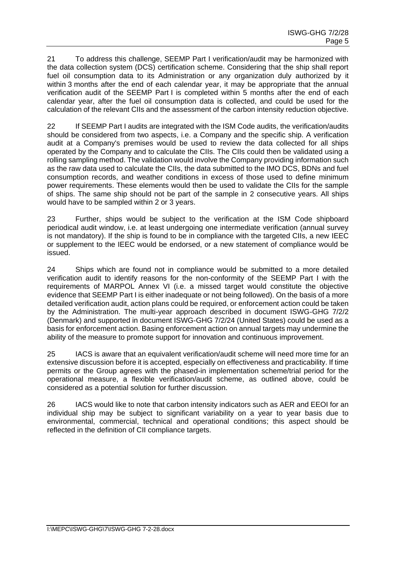21 To address this challenge, SEEMP Part I verification/audit may be harmonized with the data collection system (DCS) certification scheme. Considering that the ship shall report fuel oil consumption data to its Administration or any organization duly authorized by it within 3 months after the end of each calendar year, it may be appropriate that the annual verification audit of the SEEMP Part I is completed within 5 months after the end of each calendar year, after the fuel oil consumption data is collected, and could be used for the calculation of the relevant CIIs and the assessment of the carbon intensity reduction objective.

22 If SEEMP Part I audits are integrated with the ISM Code audits, the verification/audits should be considered from two aspects, i.e. a Company and the specific ship. A verification audit at a Company's premises would be used to review the data collected for all ships operated by the Company and to calculate the CIIs. The CIIs could then be validated using a rolling sampling method. The validation would involve the Company providing information such as the raw data used to calculate the CIIs, the data submitted to the IMO DCS, BDNs and fuel consumption records, and weather conditions in excess of those used to define minimum power requirements. These elements would then be used to validate the CIIs for the sample of ships. The same ship should not be part of the sample in 2 consecutive years. All ships would have to be sampled within 2 or 3 years.

23 Further, ships would be subject to the verification at the ISM Code shipboard periodical audit window, i.e. at least undergoing one intermediate verification (annual survey is not mandatory). If the ship is found to be in compliance with the targeted CIIs, a new IEEC or supplement to the IEEC would be endorsed, or a new statement of compliance would be issued.

24 Ships which are found not in compliance would be submitted to a more detailed verification audit to identify reasons for the non-conformity of the SEEMP Part I with the requirements of MARPOL Annex VI (i.e. a missed target would constitute the objective evidence that SEEMP Part I is either inadequate or not being followed). On the basis of a more detailed verification audit, action plans could be required, or enforcement action could be taken by the Administration. The multi-year approach described in document ISWG-GHG 7/2/2 (Denmark) and supported in document ISWG-GHG 7/2/24 (United States) could be used as a basis for enforcement action. Basing enforcement action on annual targets may undermine the ability of the measure to promote support for innovation and continuous improvement.

25 IACS is aware that an equivalent verification/audit scheme will need more time for an extensive discussion before it is accepted, especially on effectiveness and practicability. If time permits or the Group agrees with the phased-in implementation scheme/trial period for the operational measure, a flexible verification/audit scheme, as outlined above, could be considered as a potential solution for further discussion.

26 IACS would like to note that carbon intensity indicators such as AER and EEOI for an individual ship may be subject to significant variability on a year to year basis due to environmental, commercial, technical and operational conditions; this aspect should be reflected in the definition of CII compliance targets.